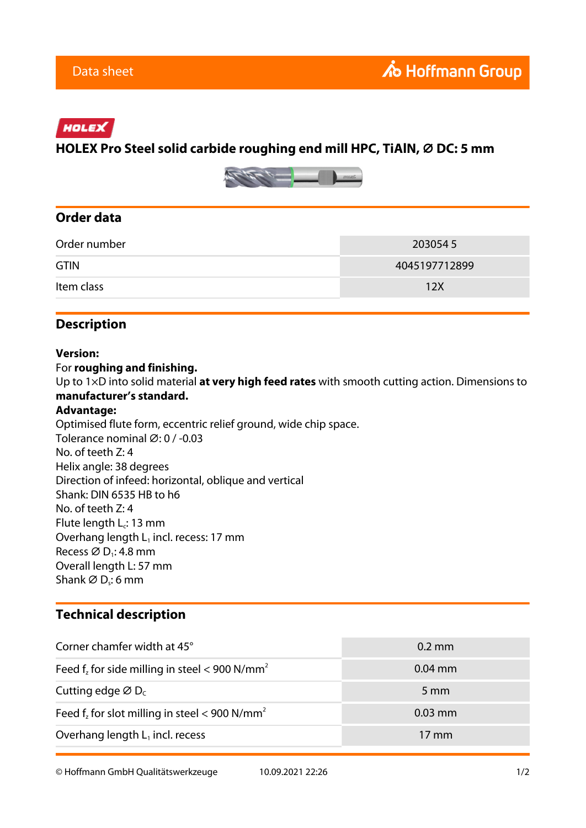### HOLEX

# **HOLEX Pro Steel solid carbide roughing end mill HPC, TiAlN, ⌀ DC: 5 mm**



#### **Order data**

| Order number | 2030545       |
|--------------|---------------|
| <b>GTIN</b>  | 4045197712899 |
| Item class   | 12X           |

## **Description**

#### **Version:**

For **roughing and finishing.** Up to 1×D into solid material **at very high feed rates** with smooth cutting action. Dimensions to **manufacturer's standard. Advantage:** Optimised flute form, eccentric relief ground, wide chip space. Tolerance nominal ⌀: 0 / -0.03 No. of teeth Z: 4 Helix angle: 38 degrees

Direction of infeed: horizontal, oblique and vertical Shank: DIN 6535 HB to h6

No. of teeth Z: 4

Flute length  $L_c$ : 13 mm

Overhang length  $L_1$  incl. recess: 17 mm Recess  $\varnothing$  D<sub>1</sub>: 4.8 mm

Overall length L: 57 mm

Shank  $\varnothing$  D<sub>s</sub>: 6 mm

### **Technical description**

| Corner chamfer width at 45°                                  | $0.2 \text{ mm}$ |
|--------------------------------------------------------------|------------------|
| Feed $f_z$ for side milling in steel < 900 N/mm <sup>2</sup> | $0.04$ mm        |
| Cutting edge $\varnothing$ D <sub>c</sub>                    | $5 \text{ mm}$   |
| Feed $f_z$ for slot milling in steel < 900 N/mm <sup>2</sup> | $0.03$ mm        |
| Overhang length $L_1$ incl. recess                           | $17 \text{ mm}$  |

© Hoffmann GmbH Qualitätswerkzeuge 10.09.2021 22:26 1/2